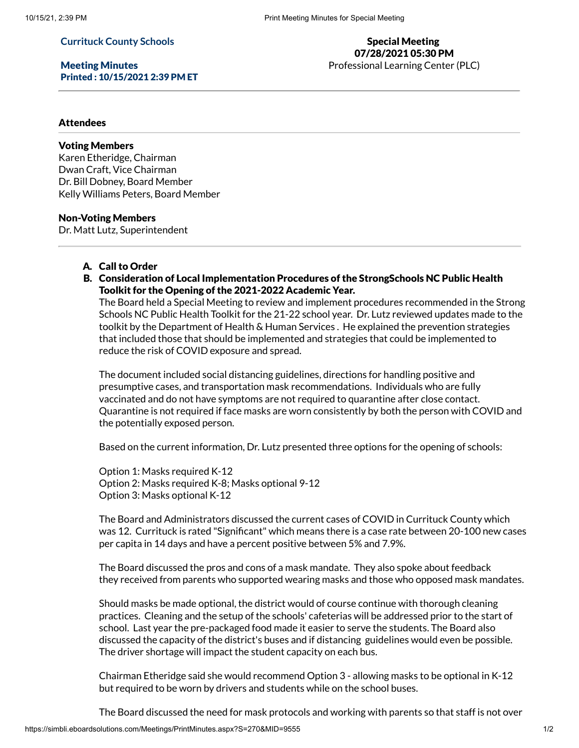# **Currituck County Schools**

Meeting Minutes Printed : 10/15/2021 2:39 PM ET

# Special Meeting 07/28/2021 05:30 PM Professional Learning Center (PLC)

## **Attendees**

### Voting Members

Karen Etheridge, Chairman Dwan Craft, Vice Chairman Dr. Bill Dobney, Board Member Kelly Williams Peters, Board Member

### Non-Voting Members

Dr. Matt Lutz, Superintendent

- A. Call to Order
- B. Consideration of Local Implementation Procedures of the StrongSchools NC Public Health Toolkit for the Opening of the 2021-2022 Academic Year.

The Board held a Special Meeting to review and implement procedures recommended in the Strong Schools NC Public Health Toolkit for the 21-22 school year. Dr. Lutz reviewed updates made to the toolkit by the Department of Health & Human Services . He explained the prevention strategies that included those that should be implemented and strategies that could be implemented to reduce the risk of COVID exposure and spread.

The document included social distancing guidelines, directions for handling positive and presumptive cases, and transportation mask recommendations. Individuals who are fully vaccinated and do not have symptoms are not required to quarantine after close contact. Quarantine is not required if face masks are worn consistently by both the person with COVID and the potentially exposed person.

Based on the current information, Dr. Lutz presented three options for the opening of schools:

Option 1: Masks required K-12 Option 2: Masks required K-8; Masks optional 9-12 Option 3: Masks optional K-12

The Board and Administrators discussed the current cases of COVID in Currituck County which was 12. Currituck is rated "Significant" which means there is a case rate between 20-100 new cases per capita in 14 days and have a percent positive between 5% and 7.9%.

The Board discussed the pros and cons of a mask mandate. They also spoke about feedback they received from parents who supported wearing masks and those who opposed mask mandates.

Should masks be made optional, the district would of course continue with thorough cleaning practices. Cleaning and the setup of the schools' cafeterias will be addressed prior to the start of school. Last year the pre-packaged food made it easier to serve the students. The Board also discussed the capacity of the district's buses and if distancing guidelines would even be possible. The driver shortage will impact the student capacity on each bus.

Chairman Etheridge said she would recommend Option 3 - allowing masks to be optional in K-12 but required to be worn by drivers and students while on the school buses.

The Board discussed the need for mask protocols and working with parents so that staff is not over